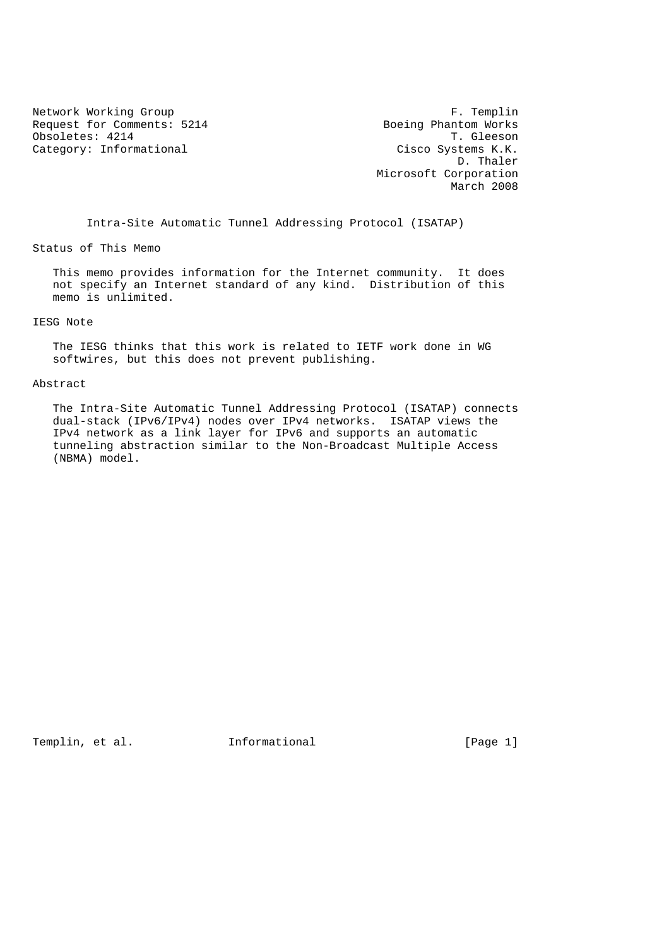Network Working Group **F. Templin** Request for Comments: 5214 Boeing Phantom Works (bycoletes: 4214 T. Gleeson Obsoletes: 4214 Category: Informational Category: Cisco Systems K.K.

 D. Thaler Microsoft Corporation March 2008

Intra-Site Automatic Tunnel Addressing Protocol (ISATAP)

Status of This Memo

 This memo provides information for the Internet community. It does not specify an Internet standard of any kind. Distribution of this memo is unlimited.

## IESG Note

 The IESG thinks that this work is related to IETF work done in WG softwires, but this does not prevent publishing.

### Abstract

 The Intra-Site Automatic Tunnel Addressing Protocol (ISATAP) connects dual-stack (IPv6/IPv4) nodes over IPv4 networks. ISATAP views the IPv4 network as a link layer for IPv6 and supports an automatic tunneling abstraction similar to the Non-Broadcast Multiple Access (NBMA) model.

Templin, et al. **Informational** [Page 1]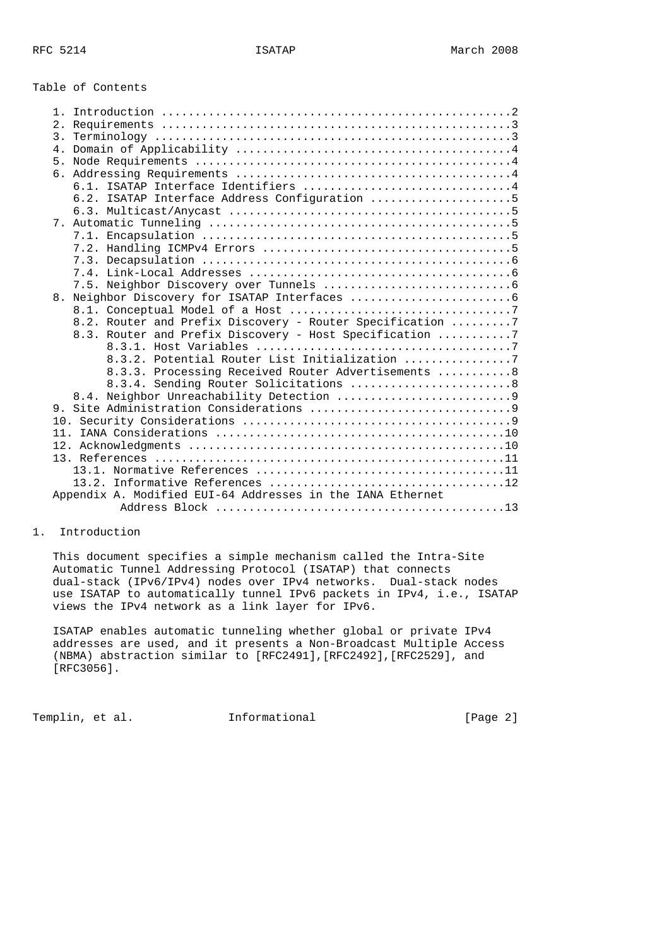## Table of Contents

| $1$ .          |                                                            |
|----------------|------------------------------------------------------------|
|                |                                                            |
|                |                                                            |
|                |                                                            |
| 5 <sub>1</sub> |                                                            |
| б.             |                                                            |
|                | 6.1. ISATAP Interface Identifiers 4                        |
|                | 6.2. ISATAP Interface Address Configuration 5              |
|                |                                                            |
|                |                                                            |
|                |                                                            |
|                |                                                            |
|                |                                                            |
|                |                                                            |
|                |                                                            |
|                |                                                            |
|                |                                                            |
|                | 8.2. Router and Prefix Discovery - Router Specification 7  |
|                | 8.3. Router and Prefix Discovery - Host Specification 7    |
|                |                                                            |
|                | 8.3.2. Potential Router List Initialization 7              |
|                | 8.3.3. Processing Received Router Advertisements  8        |
|                | 8.3.4. Sending Router Solicitations  8                     |
|                |                                                            |
|                |                                                            |
|                |                                                            |
|                |                                                            |
|                |                                                            |
|                |                                                            |
|                |                                                            |
|                |                                                            |
|                | Appendix A. Modified EUI-64 Addresses in the IANA Ethernet |
|                |                                                            |

## 1. Introduction

 This document specifies a simple mechanism called the Intra-Site Automatic Tunnel Addressing Protocol (ISATAP) that connects dual-stack (IPv6/IPv4) nodes over IPv4 networks. Dual-stack nodes use ISATAP to automatically tunnel IPv6 packets in IPv4, i.e., ISATAP views the IPv4 network as a link layer for IPv6.

 ISATAP enables automatic tunneling whether global or private IPv4 addresses are used, and it presents a Non-Broadcast Multiple Access (NBMA) abstraction similar to [RFC2491],[RFC2492],[RFC2529], and [RFC3056].

Templin, et al. **Informational** [Page 2]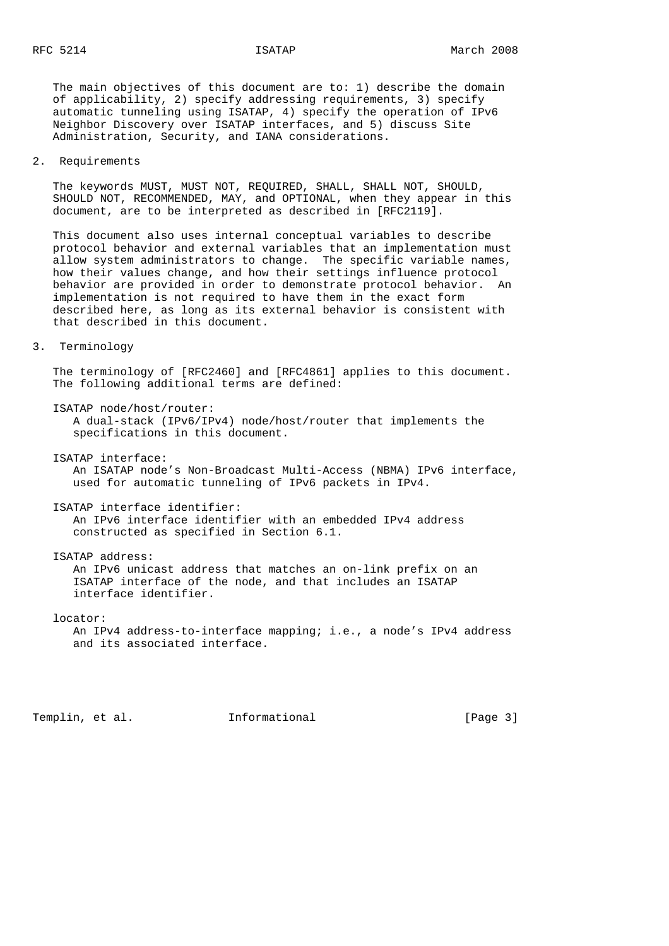The main objectives of this document are to: 1) describe the domain of applicability, 2) specify addressing requirements, 3) specify automatic tunneling using ISATAP, 4) specify the operation of IPv6 Neighbor Discovery over ISATAP interfaces, and 5) discuss Site Administration, Security, and IANA considerations.

2. Requirements

 The keywords MUST, MUST NOT, REQUIRED, SHALL, SHALL NOT, SHOULD, SHOULD NOT, RECOMMENDED, MAY, and OPTIONAL, when they appear in this document, are to be interpreted as described in [RFC2119].

 This document also uses internal conceptual variables to describe protocol behavior and external variables that an implementation must allow system administrators to change. The specific variable names, how their values change, and how their settings influence protocol behavior are provided in order to demonstrate protocol behavior. An implementation is not required to have them in the exact form described here, as long as its external behavior is consistent with that described in this document.

3. Terminology

 The terminology of [RFC2460] and [RFC4861] applies to this document. The following additional terms are defined:

ISATAP node/host/router:

 A dual-stack (IPv6/IPv4) node/host/router that implements the specifications in this document.

ISATAP interface:

 An ISATAP node's Non-Broadcast Multi-Access (NBMA) IPv6 interface, used for automatic tunneling of IPv6 packets in IPv4.

ISATAP interface identifier:

 An IPv6 interface identifier with an embedded IPv4 address constructed as specified in Section 6.1.

 ISATAP address: An IPv6 unicast address that matches an on-link prefix on an ISATAP interface of the node, and that includes an ISATAP interface identifier.

locator:

 An IPv4 address-to-interface mapping; i.e., a node's IPv4 address and its associated interface.

Templin, et al. 1nformational 1999 [Page 3]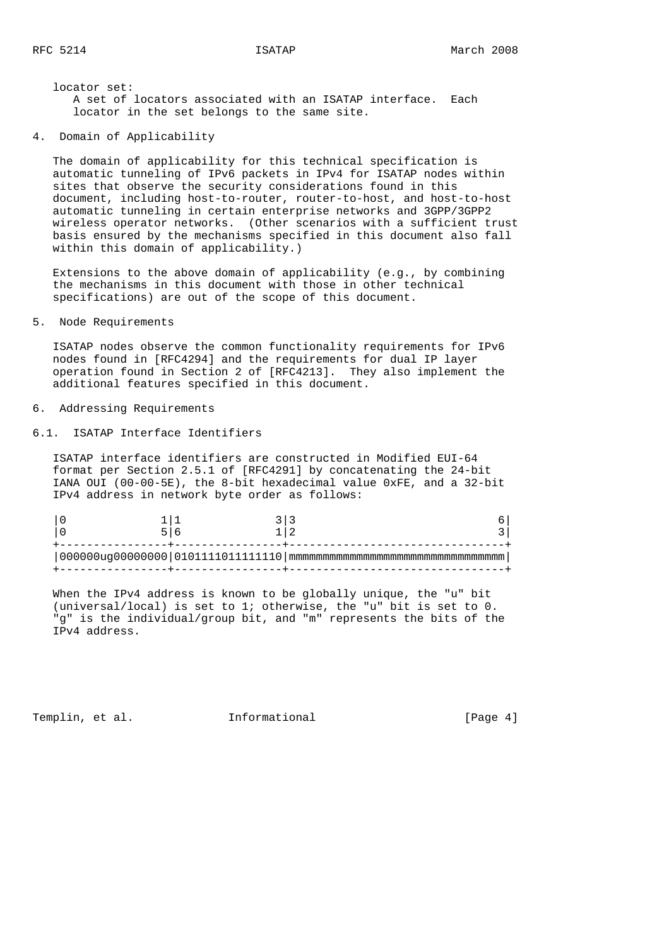locator set: A set of locators associated with an ISATAP interface. Each locator in the set belongs to the same site.

4. Domain of Applicability

 The domain of applicability for this technical specification is automatic tunneling of IPv6 packets in IPv4 for ISATAP nodes within sites that observe the security considerations found in this document, including host-to-router, router-to-host, and host-to-host automatic tunneling in certain enterprise networks and 3GPP/3GPP2 wireless operator networks. (Other scenarios with a sufficient trust basis ensured by the mechanisms specified in this document also fall within this domain of applicability.)

 Extensions to the above domain of applicability (e.g., by combining the mechanisms in this document with those in other technical specifications) are out of the scope of this document.

# 5. Node Requirements

 ISATAP nodes observe the common functionality requirements for IPv6 nodes found in [RFC4294] and the requirements for dual IP layer operation found in Section 2 of [RFC4213]. They also implement the additional features specified in this document.

# 6. Addressing Requirements

6.1. ISATAP Interface Identifiers

 ISATAP interface identifiers are constructed in Modified EUI-64 format per Section 2.5.1 of [RFC4291] by concatenating the 24-bit IANA OUI (00-00-5E), the 8-bit hexadecimal value 0xFE, and a 32-bit IPv4 address in network byte order as follows:

 When the IPv4 address is known to be globally unique, the "u" bit (universal/local) is set to 1; otherwise, the "u" bit is set to 0. "g" is the individual/group bit, and "m" represents the bits of the IPv4 address.

Templin, et al. 1nformational 1999 [Page 4]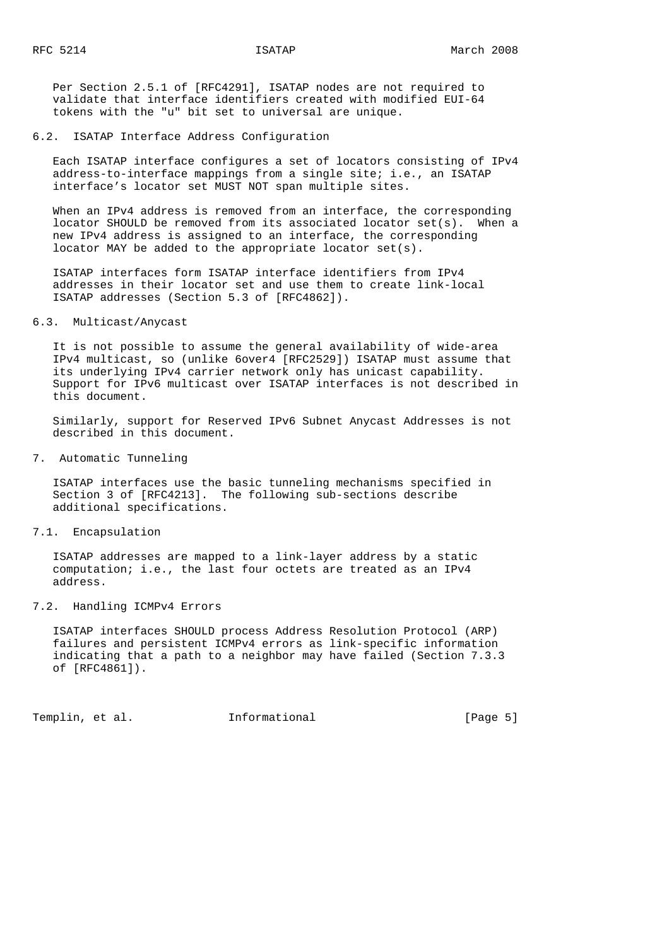Per Section 2.5.1 of [RFC4291], ISATAP nodes are not required to validate that interface identifiers created with modified EUI-64 tokens with the "u" bit set to universal are unique.

6.2. ISATAP Interface Address Configuration

 Each ISATAP interface configures a set of locators consisting of IPv4 address-to-interface mappings from a single site; i.e., an ISATAP interface's locator set MUST NOT span multiple sites.

When an IPv4 address is removed from an interface, the corresponding locator SHOULD be removed from its associated locator set(s). When a new IPv4 address is assigned to an interface, the corresponding locator MAY be added to the appropriate locator set(s).

 ISATAP interfaces form ISATAP interface identifiers from IPv4 addresses in their locator set and use them to create link-local ISATAP addresses (Section 5.3 of [RFC4862]).

## 6.3. Multicast/Anycast

 It is not possible to assume the general availability of wide-area IPv4 multicast, so (unlike 6over4 [RFC2529]) ISATAP must assume that its underlying IPv4 carrier network only has unicast capability. Support for IPv6 multicast over ISATAP interfaces is not described in this document.

 Similarly, support for Reserved IPv6 Subnet Anycast Addresses is not described in this document.

7. Automatic Tunneling

 ISATAP interfaces use the basic tunneling mechanisms specified in Section 3 of [RFC4213]. The following sub-sections describe additional specifications.

7.1. Encapsulation

 ISATAP addresses are mapped to a link-layer address by a static computation; i.e., the last four octets are treated as an IPv4 address.

### 7.2. Handling ICMPv4 Errors

 ISATAP interfaces SHOULD process Address Resolution Protocol (ARP) failures and persistent ICMPv4 errors as link-specific information indicating that a path to a neighbor may have failed (Section 7.3.3 of [RFC4861]).

Templin, et al. 1nformational 1999 [Page 5]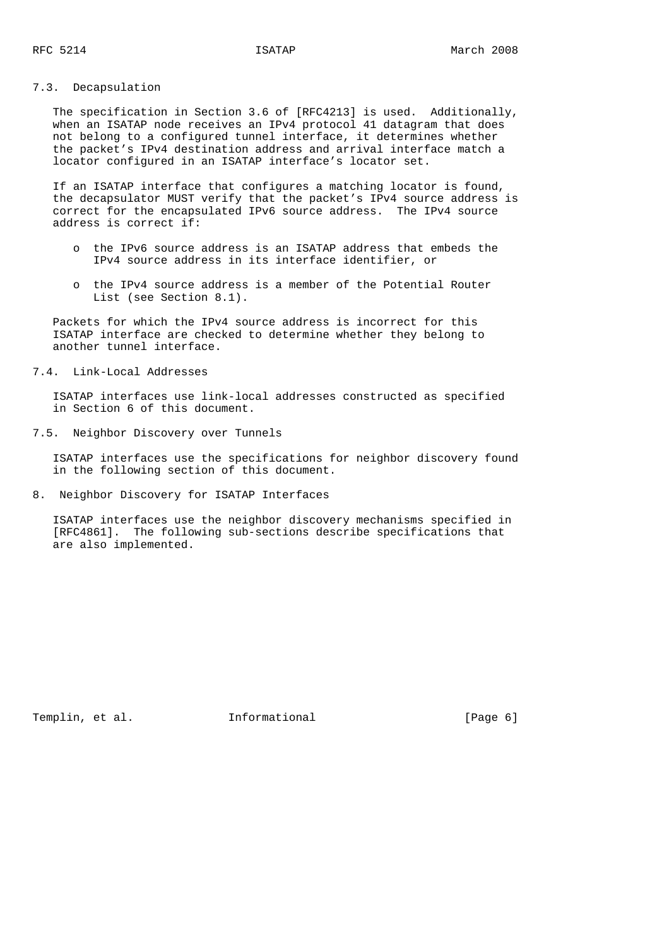# 7.3. Decapsulation

 The specification in Section 3.6 of [RFC4213] is used. Additionally, when an ISATAP node receives an IPv4 protocol 41 datagram that does not belong to a configured tunnel interface, it determines whether the packet's IPv4 destination address and arrival interface match a locator configured in an ISATAP interface's locator set.

 If an ISATAP interface that configures a matching locator is found, the decapsulator MUST verify that the packet's IPv4 source address is correct for the encapsulated IPv6 source address. The IPv4 source address is correct if:

- o the IPv6 source address is an ISATAP address that embeds the IPv4 source address in its interface identifier, or
- o the IPv4 source address is a member of the Potential Router List (see Section 8.1).

 Packets for which the IPv4 source address is incorrect for this ISATAP interface are checked to determine whether they belong to another tunnel interface.

7.4. Link-Local Addresses

 ISATAP interfaces use link-local addresses constructed as specified in Section 6 of this document.

7.5. Neighbor Discovery over Tunnels

 ISATAP interfaces use the specifications for neighbor discovery found in the following section of this document.

8. Neighbor Discovery for ISATAP Interfaces

 ISATAP interfaces use the neighbor discovery mechanisms specified in [RFC4861]. The following sub-sections describe specifications that are also implemented.

Templin, et al. 1nformational 1999 [Page 6]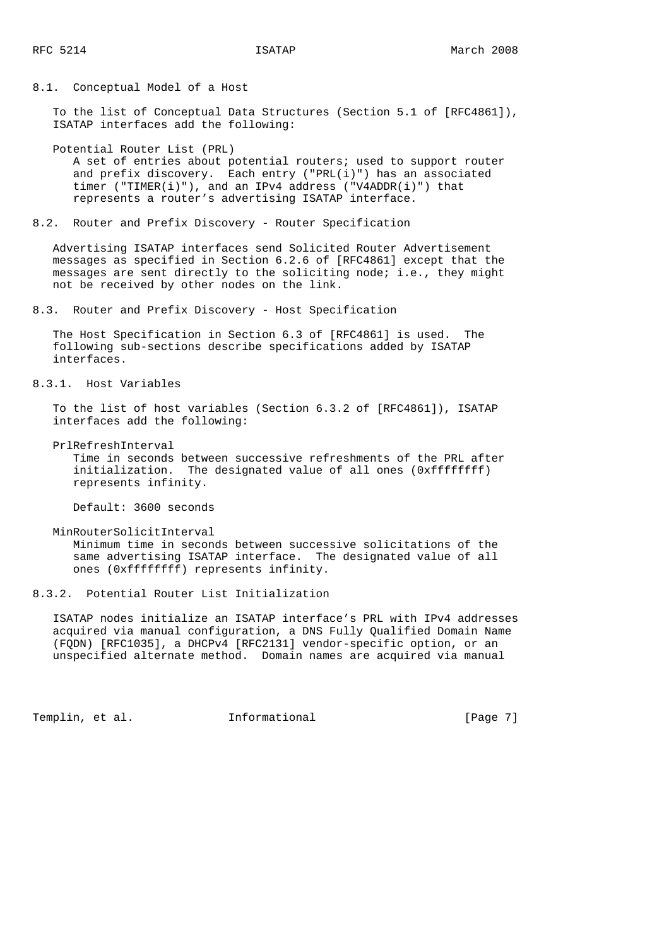8.1. Conceptual Model of a Host

 To the list of Conceptual Data Structures (Section 5.1 of [RFC4861]), ISATAP interfaces add the following:

Potential Router List (PRL)

 A set of entries about potential routers; used to support router and prefix discovery. Each entry ("PRL(i)") has an associated timer ("TIMER(i)"), and an IPv4 address ("V4ADDR(i)") that represents a router's advertising ISATAP interface.

8.2. Router and Prefix Discovery - Router Specification

 Advertising ISATAP interfaces send Solicited Router Advertisement messages as specified in Section 6.2.6 of [RFC4861] except that the messages are sent directly to the soliciting node; i.e., they might not be received by other nodes on the link.

8.3. Router and Prefix Discovery - Host Specification

 The Host Specification in Section 6.3 of [RFC4861] is used. The following sub-sections describe specifications added by ISATAP interfaces.

8.3.1. Host Variables

 To the list of host variables (Section 6.3.2 of [RFC4861]), ISATAP interfaces add the following:

PrlRefreshInterval

 Time in seconds between successive refreshments of the PRL after initialization. The designated value of all ones (0xffffffff) represents infinity.

Default: 3600 seconds

MinRouterSolicitInterval

 Minimum time in seconds between successive solicitations of the same advertising ISATAP interface. The designated value of all ones (0xffffffff) represents infinity.

8.3.2. Potential Router List Initialization

 ISATAP nodes initialize an ISATAP interface's PRL with IPv4 addresses acquired via manual configuration, a DNS Fully Qualified Domain Name (FQDN) [RFC1035], a DHCPv4 [RFC2131] vendor-specific option, or an unspecified alternate method. Domain names are acquired via manual

Templin, et al. 1nformational 1999 [Page 7]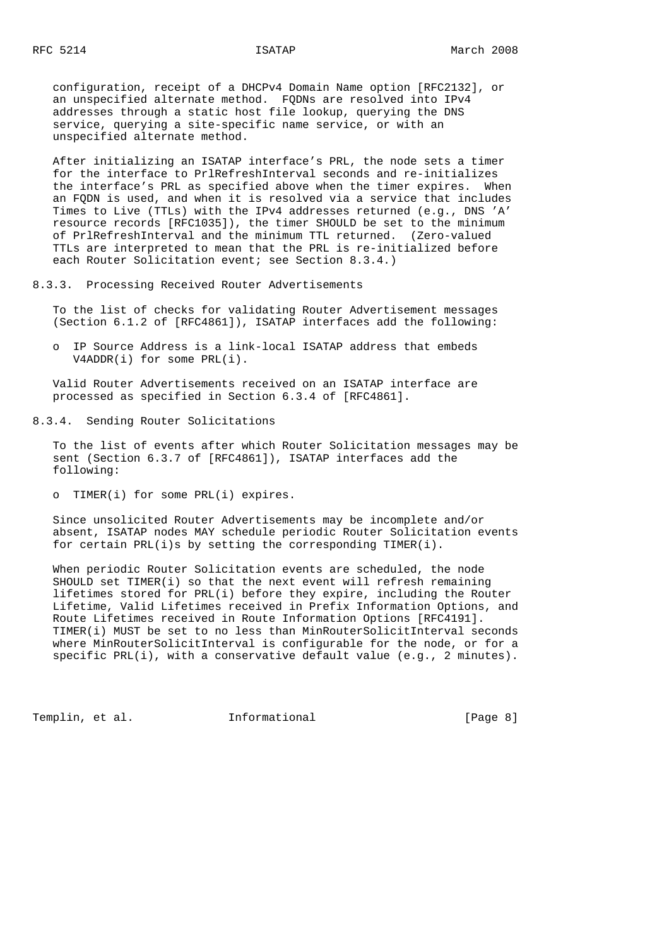configuration, receipt of a DHCPv4 Domain Name option [RFC2132], or an unspecified alternate method. FQDNs are resolved into IPv4 addresses through a static host file lookup, querying the DNS service, querying a site-specific name service, or with an unspecified alternate method.

 After initializing an ISATAP interface's PRL, the node sets a timer for the interface to PrlRefreshInterval seconds and re-initializes the interface's PRL as specified above when the timer expires. When an FQDN is used, and when it is resolved via a service that includes Times to Live (TTLs) with the IPv4 addresses returned (e.g., DNS 'A' resource records [RFC1035]), the timer SHOULD be set to the minimum of PrlRefreshInterval and the minimum TTL returned. (Zero-valued TTLs are interpreted to mean that the PRL is re-initialized before each Router Solicitation event; see Section 8.3.4.)

8.3.3. Processing Received Router Advertisements

 To the list of checks for validating Router Advertisement messages (Section 6.1.2 of [RFC4861]), ISATAP interfaces add the following:

 o IP Source Address is a link-local ISATAP address that embeds V4ADDR(i) for some PRL(i).

 Valid Router Advertisements received on an ISATAP interface are processed as specified in Section 6.3.4 of [RFC4861].

# 8.3.4. Sending Router Solicitations

 To the list of events after which Router Solicitation messages may be sent (Section 6.3.7 of [RFC4861]), ISATAP interfaces add the following:

o TIMER(i) for some PRL(i) expires.

 Since unsolicited Router Advertisements may be incomplete and/or absent, ISATAP nodes MAY schedule periodic Router Solicitation events for certain PRL(i)s by setting the corresponding TIMER(i).

 When periodic Router Solicitation events are scheduled, the node SHOULD set TIMER(i) so that the next event will refresh remaining lifetimes stored for PRL(i) before they expire, including the Router Lifetime, Valid Lifetimes received in Prefix Information Options, and Route Lifetimes received in Route Information Options [RFC4191]. TIMER(i) MUST be set to no less than MinRouterSolicitInterval seconds where MinRouterSolicitInterval is configurable for the node, or for a specific PRL(i), with a conservative default value (e.g., 2 minutes).

Templin, et al. 1nformational 1999 [Page 8]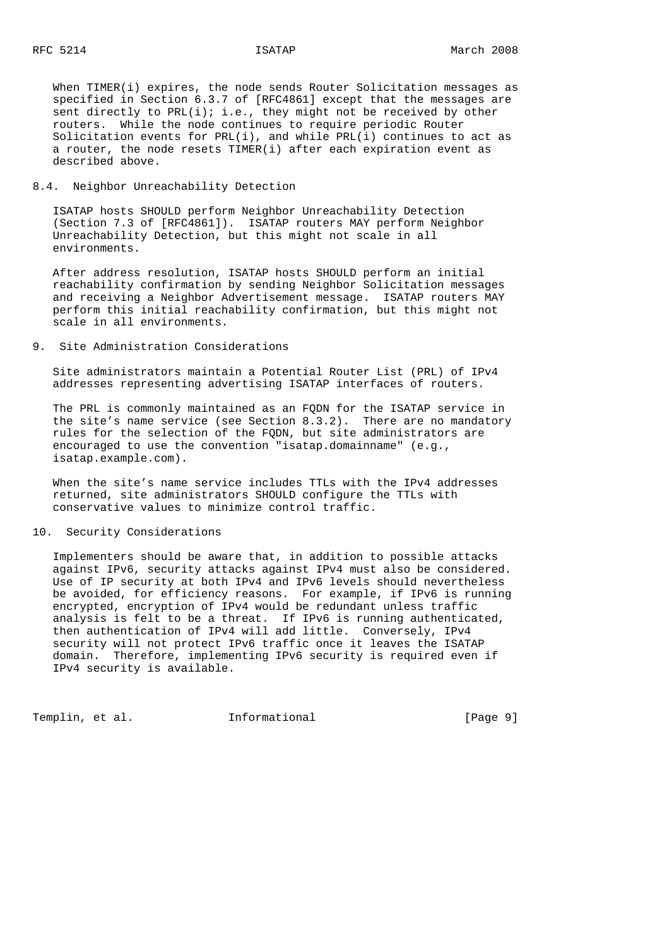When TIMER(i) expires, the node sends Router Solicitation messages as specified in Section 6.3.7 of [RFC4861] except that the messages are sent directly to  $PRL(i); i.e.,$  they might not be received by other routers. While the node continues to require periodic Router Solicitation events for  $PRL(i)$ , and while  $PRL(i)$  continues to act as a router, the node resets TIMER(i) after each expiration event as described above.

# 8.4. Neighbor Unreachability Detection

 ISATAP hosts SHOULD perform Neighbor Unreachability Detection (Section 7.3 of [RFC4861]). ISATAP routers MAY perform Neighbor Unreachability Detection, but this might not scale in all environments.

 After address resolution, ISATAP hosts SHOULD perform an initial reachability confirmation by sending Neighbor Solicitation messages and receiving a Neighbor Advertisement message. ISATAP routers MAY perform this initial reachability confirmation, but this might not scale in all environments.

# 9. Site Administration Considerations

 Site administrators maintain a Potential Router List (PRL) of IPv4 addresses representing advertising ISATAP interfaces of routers.

 The PRL is commonly maintained as an FQDN for the ISATAP service in the site's name service (see Section 8.3.2). There are no mandatory rules for the selection of the FQDN, but site administrators are encouraged to use the convention "isatap.domainname" (e.g., isatap.example.com).

 When the site's name service includes TTLs with the IPv4 addresses returned, site administrators SHOULD configure the TTLs with conservative values to minimize control traffic.

### 10. Security Considerations

 Implementers should be aware that, in addition to possible attacks against IPv6, security attacks against IPv4 must also be considered. Use of IP security at both IPv4 and IPv6 levels should nevertheless be avoided, for efficiency reasons. For example, if IPv6 is running encrypted, encryption of IPv4 would be redundant unless traffic analysis is felt to be a threat. If IPv6 is running authenticated, then authentication of IPv4 will add little. Conversely, IPv4 security will not protect IPv6 traffic once it leaves the ISATAP domain. Therefore, implementing IPv6 security is required even if IPv4 security is available.

Templin, et al. 1nformational 1999 [Page 9]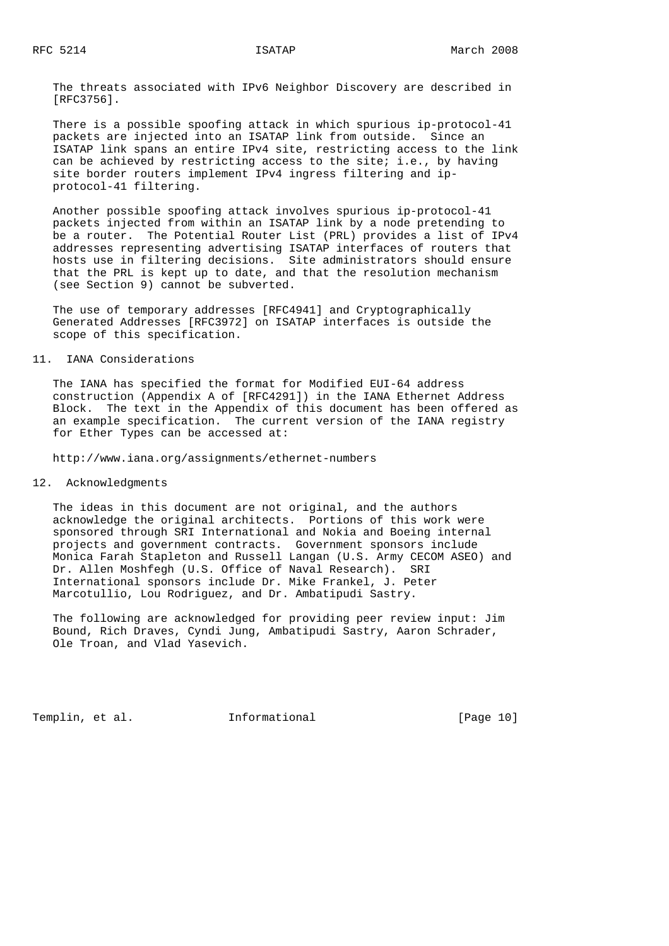The threats associated with IPv6 Neighbor Discovery are described in [RFC3756].

 There is a possible spoofing attack in which spurious ip-protocol-41 packets are injected into an ISATAP link from outside. Since an ISATAP link spans an entire IPv4 site, restricting access to the link can be achieved by restricting access to the site; i.e., by having site border routers implement IPv4 ingress filtering and ip protocol-41 filtering.

 Another possible spoofing attack involves spurious ip-protocol-41 packets injected from within an ISATAP link by a node pretending to be a router. The Potential Router List (PRL) provides a list of IPv4 addresses representing advertising ISATAP interfaces of routers that hosts use in filtering decisions. Site administrators should ensure that the PRL is kept up to date, and that the resolution mechanism (see Section 9) cannot be subverted.

 The use of temporary addresses [RFC4941] and Cryptographically Generated Addresses [RFC3972] on ISATAP interfaces is outside the scope of this specification.

# 11. IANA Considerations

 The IANA has specified the format for Modified EUI-64 address construction (Appendix A of [RFC4291]) in the IANA Ethernet Address Block. The text in the Appendix of this document has been offered as an example specification. The current version of the IANA registry for Ether Types can be accessed at:

http://www.iana.org/assignments/ethernet-numbers

12. Acknowledgments

 The ideas in this document are not original, and the authors acknowledge the original architects. Portions of this work were sponsored through SRI International and Nokia and Boeing internal projects and government contracts. Government sponsors include Monica Farah Stapleton and Russell Langan (U.S. Army CECOM ASEO) and Dr. Allen Moshfegh (U.S. Office of Naval Research). SRI International sponsors include Dr. Mike Frankel, J. Peter Marcotullio, Lou Rodriguez, and Dr. Ambatipudi Sastry.

 The following are acknowledged for providing peer review input: Jim Bound, Rich Draves, Cyndi Jung, Ambatipudi Sastry, Aaron Schrader, Ole Troan, and Vlad Yasevich.

Templin, et al. 1nformational [Page 10]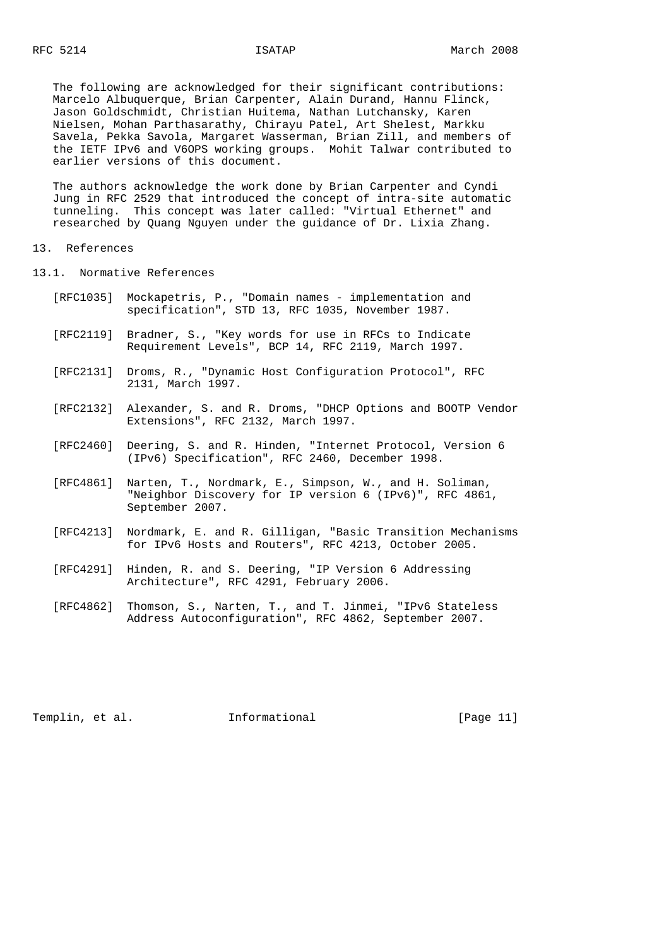The following are acknowledged for their significant contributions: Marcelo Albuquerque, Brian Carpenter, Alain Durand, Hannu Flinck, Jason Goldschmidt, Christian Huitema, Nathan Lutchansky, Karen Nielsen, Mohan Parthasarathy, Chirayu Patel, Art Shelest, Markku Savela, Pekka Savola, Margaret Wasserman, Brian Zill, and members of the IETF IPv6 and V6OPS working groups. Mohit Talwar contributed to earlier versions of this document.

 The authors acknowledge the work done by Brian Carpenter and Cyndi Jung in RFC 2529 that introduced the concept of intra-site automatic tunneling. This concept was later called: "Virtual Ethernet" and researched by Quang Nguyen under the guidance of Dr. Lixia Zhang.

13. References

13.1. Normative References

- [RFC1035] Mockapetris, P., "Domain names implementation and specification", STD 13, RFC 1035, November 1987.
- [RFC2119] Bradner, S., "Key words for use in RFCs to Indicate Requirement Levels", BCP 14, RFC 2119, March 1997.
- [RFC2131] Droms, R., "Dynamic Host Configuration Protocol", RFC 2131, March 1997.
- [RFC2132] Alexander, S. and R. Droms, "DHCP Options and BOOTP Vendor Extensions", RFC 2132, March 1997.
- [RFC2460] Deering, S. and R. Hinden, "Internet Protocol, Version 6 (IPv6) Specification", RFC 2460, December 1998.
- [RFC4861] Narten, T., Nordmark, E., Simpson, W., and H. Soliman, "Neighbor Discovery for IP version 6 (IPv6)", RFC 4861, September 2007.
- [RFC4213] Nordmark, E. and R. Gilligan, "Basic Transition Mechanisms for IPv6 Hosts and Routers", RFC 4213, October 2005.
- [RFC4291] Hinden, R. and S. Deering, "IP Version 6 Addressing Architecture", RFC 4291, February 2006.
- [RFC4862] Thomson, S., Narten, T., and T. Jinmei, "IPv6 Stateless Address Autoconfiguration", RFC 4862, September 2007.

Templin, et al. **Informational** [Page 11]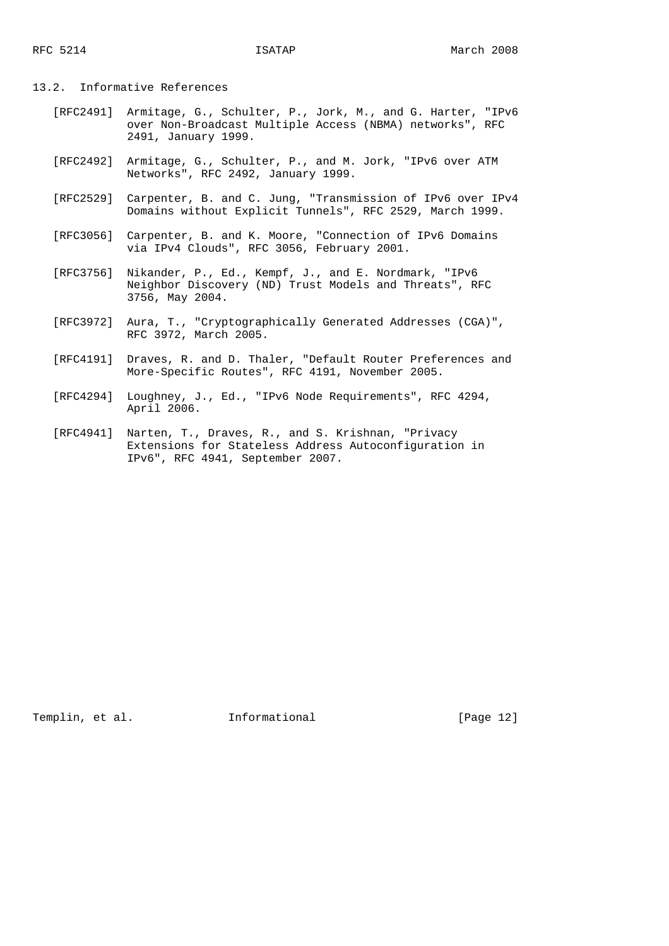## 13.2. Informative References

- [RFC2491] Armitage, G., Schulter, P., Jork, M., and G. Harter, "IPv6 over Non-Broadcast Multiple Access (NBMA) networks", RFC 2491, January 1999.
- [RFC2492] Armitage, G., Schulter, P., and M. Jork, "IPv6 over ATM Networks", RFC 2492, January 1999.
- [RFC2529] Carpenter, B. and C. Jung, "Transmission of IPv6 over IPv4 Domains without Explicit Tunnels", RFC 2529, March 1999.
- [RFC3056] Carpenter, B. and K. Moore, "Connection of IPv6 Domains via IPv4 Clouds", RFC 3056, February 2001.
- [RFC3756] Nikander, P., Ed., Kempf, J., and E. Nordmark, "IPv6 Neighbor Discovery (ND) Trust Models and Threats", RFC 3756, May 2004.
- [RFC3972] Aura, T., "Cryptographically Generated Addresses (CGA)", RFC 3972, March 2005.
- [RFC4191] Draves, R. and D. Thaler, "Default Router Preferences and More-Specific Routes", RFC 4191, November 2005.
	- [RFC4294] Loughney, J., Ed., "IPv6 Node Requirements", RFC 4294, April 2006.
	- [RFC4941] Narten, T., Draves, R., and S. Krishnan, "Privacy Extensions for Stateless Address Autoconfiguration in IPv6", RFC 4941, September 2007.

Templin, et al. **Informational** [Page 12]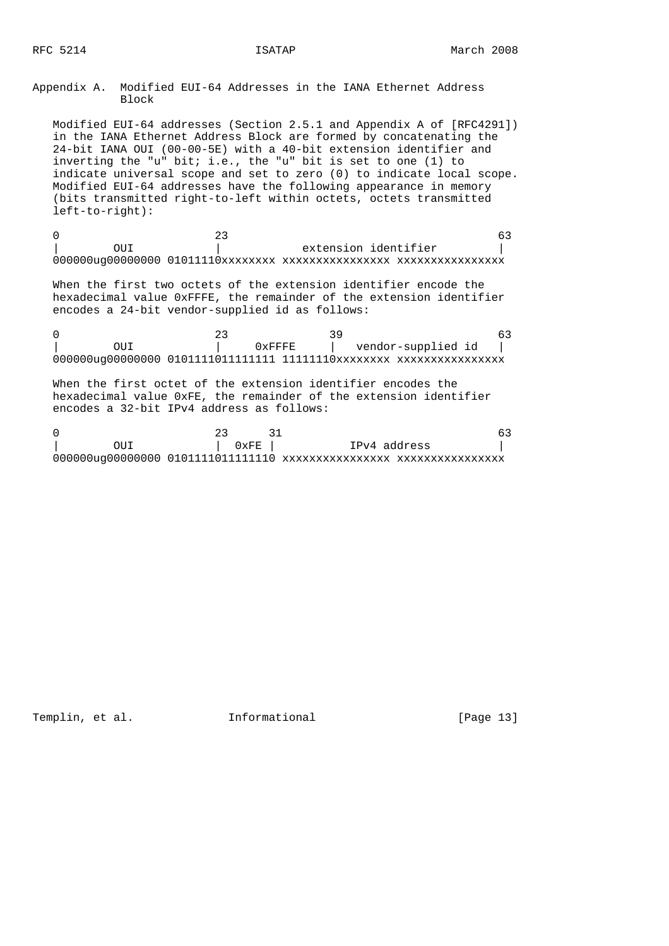Appendix A. Modified EUI-64 Addresses in the IANA Ethernet Address Block

 Modified EUI-64 addresses (Section 2.5.1 and Appendix A of [RFC4291]) in the IANA Ethernet Address Block are formed by concatenating the 24-bit IANA OUI (00-00-5E) with a 40-bit extension identifier and inverting the "u" bit; i.e., the "u" bit is set to one (1) to indicate universal scope and set to zero (0) to indicate local scope. Modified EUI-64 addresses have the following appearance in memory (bits transmitted right-to-left within octets, octets transmitted left-to-right):

 $0$  and  $23$  63 0UI | extension identifier 000000ug00000000 01011110xxxxxxxx xxxxxxxxxxxxxxxx xxxxxxxxxxxxxxxx

 When the first two octets of the extension identifier encode the hexadecimal value 0xFFFE, the remainder of the extension identifier encodes a 24-bit vendor-supplied id as follows:

|  | 0xFFFF. |  | vendor-supplied id |  |
|--|---------|--|--------------------|--|
|  |         |  |                    |  |

 When the first octet of the extension identifier encodes the hexadecimal value 0xFE, the remainder of the extension identifier encodes a 32-bit IPv4 address as follows:

|  | $0 \times \mathrm{FE}$ | IPv4 address |  |
|--|------------------------|--------------|--|
|  |                        |              |  |

Templin, et al. **Informational** [Page 13]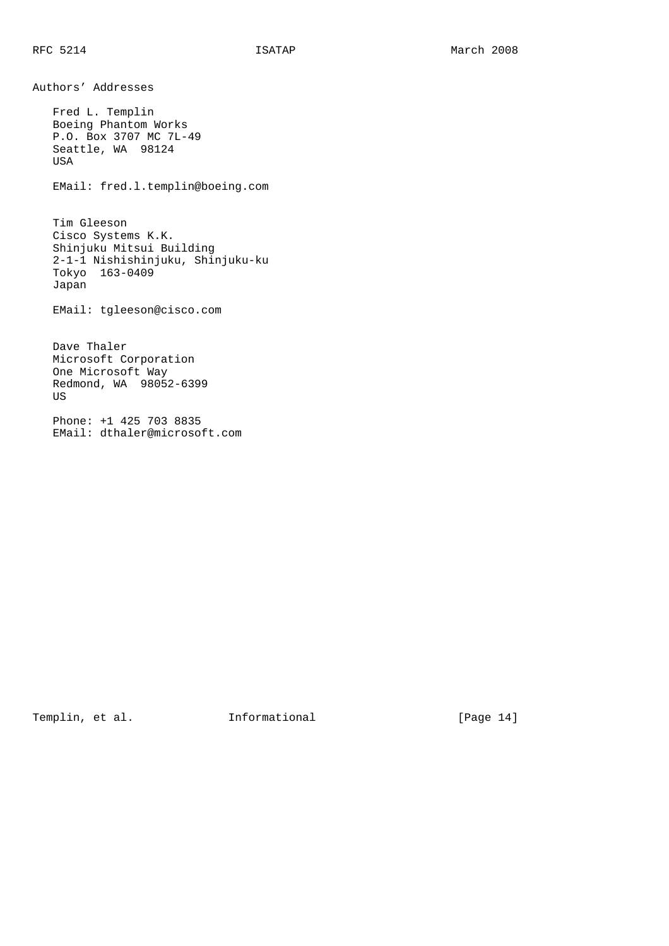Authors' Addresses

 Fred L. Templin Boeing Phantom Works P.O. Box 3707 MC 7L-49 Seattle, WA 98124 USA

EMail: fred.l.templin@boeing.com

 Tim Gleeson Cisco Systems K.K. Shinjuku Mitsui Building 2-1-1 Nishishinjuku, Shinjuku-ku Tokyo 163-0409 Japan

EMail: tgleeson@cisco.com

 Dave Thaler Microsoft Corporation One Microsoft Way Redmond, WA 98052-6399 US

 Phone: +1 425 703 8835 EMail: dthaler@microsoft.com

Templin, et al. 1nformational [Page 14]